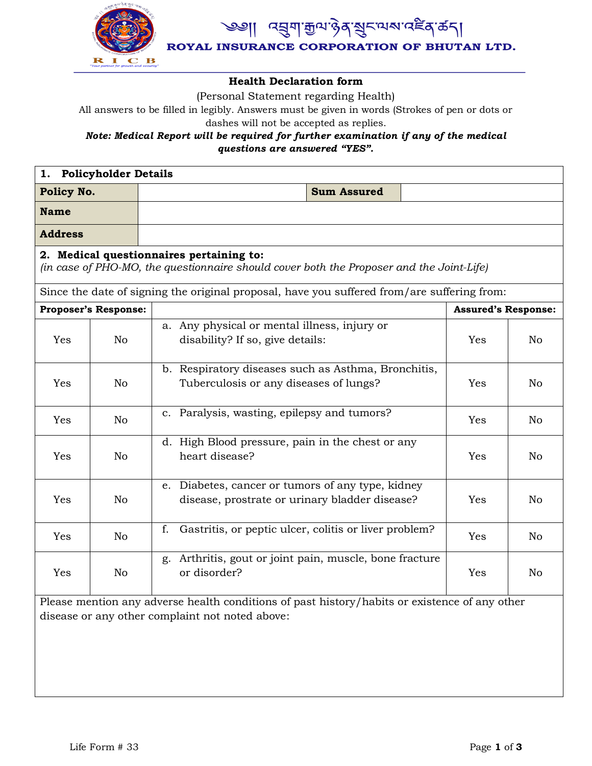

*෬*য়ৣয়৾<sup>৻</sup>য়ৣঢ়৻য়৾ঀৼয়ৼ৻৸ৼ৻ৼৢৼঀ৻ড়৻৸

ROYAL INSURANCE CORPORATION OF BHUTAN LTD.

#### **Health Declaration form**

(Personal Statement regarding Health)

All answers to be filled in legibly. Answers must be given in words (Strokes of pen or dots or dashes will not be accepted as replies.

### *Note: Medical Report will be required for further examination if any of the medical questions are answered "YES".*

| 1. Policyholder Details     |                |                                                                                                                                                  |                            |                |
|-----------------------------|----------------|--------------------------------------------------------------------------------------------------------------------------------------------------|----------------------------|----------------|
| Policy No.                  |                | <b>Sum Assured</b>                                                                                                                               |                            |                |
| <b>Name</b>                 |                |                                                                                                                                                  |                            |                |
| <b>Address</b>              |                |                                                                                                                                                  |                            |                |
|                             |                | 2. Medical questionnaires pertaining to:<br>(in case of PHO-MO, the questionnaire should cover both the Proposer and the Joint-Life)             |                            |                |
|                             |                | Since the date of signing the original proposal, have you suffered from/are suffering from:                                                      |                            |                |
| <b>Proposer's Response:</b> |                |                                                                                                                                                  | <b>Assured's Response:</b> |                |
| Yes                         | N <sub>o</sub> | a. Any physical or mental illness, injury or<br>disability? If so, give details:                                                                 | Yes                        | No.            |
| Yes                         | N <sub>o</sub> | b. Respiratory diseases such as Asthma, Bronchitis,<br>Tuberculosis or any diseases of lungs?<br>Yes                                             |                            | N <sub>o</sub> |
| Yes                         | No             | c. Paralysis, wasting, epilepsy and tumors?                                                                                                      |                            | N <sub>o</sub> |
| Yes                         | N <sub>o</sub> | d. High Blood pressure, pain in the chest or any<br>heart disease?<br>Yes                                                                        |                            | N <sub>o</sub> |
| Yes                         | N <sub>o</sub> | e. Diabetes, cancer or tumors of any type, kidney<br>disease, prostrate or urinary bladder disease?                                              | Yes                        | N <sub>o</sub> |
| Yes                         | No             | Gastritis, or peptic ulcer, colitis or liver problem?<br>f.                                                                                      | Yes                        | N <sub>o</sub> |
| Yes                         | N <sub>o</sub> | g. Arthritis, gout or joint pain, muscle, bone fracture<br>or disorder?                                                                          | Yes                        | N <sub>o</sub> |
|                             |                | Please mention any adverse health conditions of past history/habits or existence of any other<br>disease or any other complaint not noted above: |                            |                |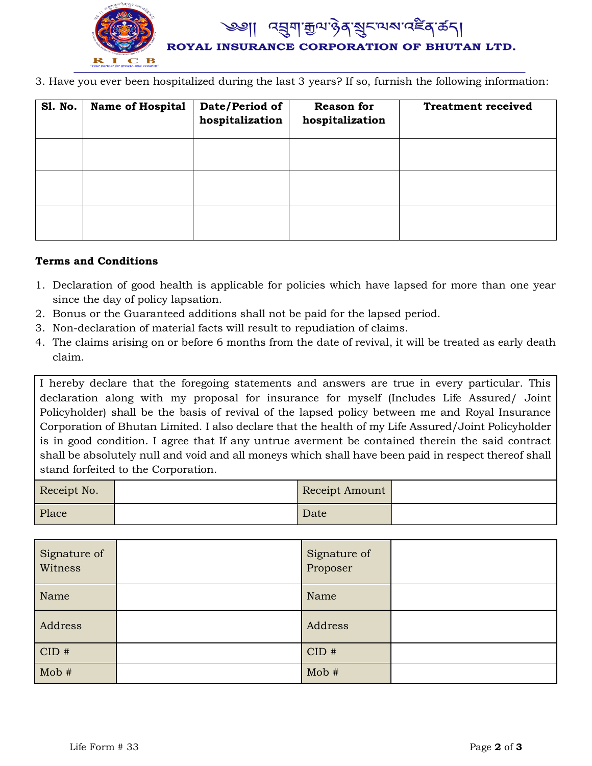

3. Have you ever been hospitalized during the last 3 years? If so, furnish the following information:

| <b>S1. No.</b> | <b>Name of Hospital</b> | Date/Period of<br>hospitalization | <b>Reason for</b><br>hospitalization | <b>Treatment received</b> |
|----------------|-------------------------|-----------------------------------|--------------------------------------|---------------------------|
|                |                         |                                   |                                      |                           |
|                |                         |                                   |                                      |                           |
|                |                         |                                   |                                      |                           |

#### **Terms and Conditions**

- 1. Declaration of good health is applicable for policies which have lapsed for more than one year since the day of policy lapsation.
- 2. Bonus or the Guaranteed additions shall not be paid for the lapsed period.
- 3. Non-declaration of material facts will result to repudiation of claims.
- 4. The claims arising on or before 6 months from the date of revival, it will be treated as early death claim.

I hereby declare that the foregoing statements and answers are true in every particular. This declaration along with my proposal for insurance for myself (Includes Life Assured/ Joint Policyholder) shall be the basis of revival of the lapsed policy between me and Royal Insurance Corporation of Bhutan Limited. I also declare that the health of my Life Assured/Joint Policyholder is in good condition. I agree that If any untrue averment be contained therein the said contract shall be absolutely null and void and all moneys which shall have been paid in respect thereof shall stand forfeited to the Corporation.

| Receipt No. | Receipt Amount |  |
|-------------|----------------|--|
| Place       | Date           |  |

| Signature of<br>Witness | Signature of<br>Proposer |  |
|-------------------------|--------------------------|--|
| Name                    | Name                     |  |
| Address                 | Address                  |  |
| CID#                    | CID#                     |  |
| $\text{Mob }#$          | Mob#                     |  |